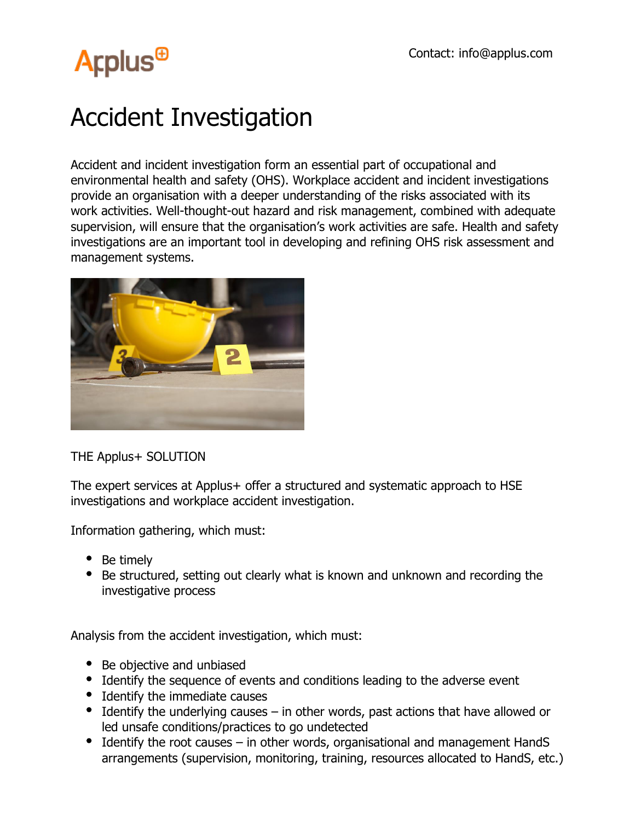## **Arplus<sup>®</sup>**

## Accident Investigation

Accident and incident investigation form an essential part of occupational and environmental health and safety (OHS). Workplace accident and incident investigations provide an organisation with a deeper understanding of the risks associated with its work activities. Well-thought-out hazard and risk management, combined with adequate supervision, will ensure that the organisation's work activities are safe. Health and safety investigations are an important tool in developing and refining OHS risk assessment and management systems.



THE Applus+ SOLUTION

The expert services at Applus + offer a structured and systematic approach to HSE investigations and workplace accident investigation.

Information gathering, which must:

- Be timely
- Be structured, setting out clearly what is known and unknown and recording the investigative process

Analysis from the accident investigation, which must:

- Be objective and unbiased
- Identify the sequence of events and conditions leading to the adverse event
- Identify the immediate causes
- $\bullet$  Identify the underlying causes in other words, past actions that have allowed or led unsafe conditions/practices to go undetected
- Identify the root causes in other words, organisational and management HandS arrangements (supervision, monitoring, training, resources allocated to HandS, etc.)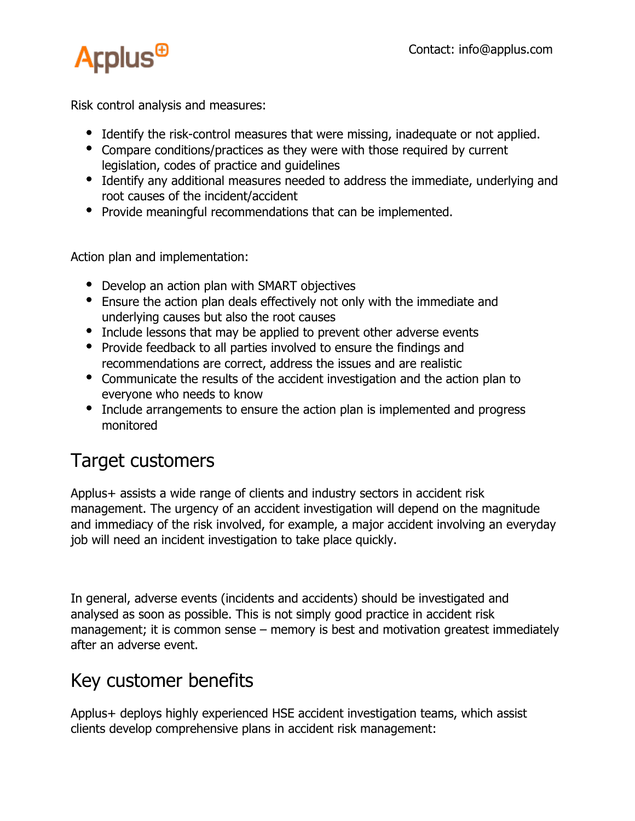

Risk control analysis and measures:

- Identify the risk-control measures that were missing, inadequate or not applied.
- Compare conditions/practices as they were with those required by current legislation, codes of practice and guidelines
- Identify any additional measures needed to address the immediate, underlying and root causes of the incident/accident
- Provide meaningful recommendations that can be implemented.

Action plan and implementation:

- Develop an action plan with SMART objectives
- Ensure the action plan deals effectively not only with the immediate and underlying causes but also the root causes
- Include lessons that may be applied to prevent other adverse events
- Provide feedback to all parties involved to ensure the findings and recommendations are correct, address the issues and are realistic
- Communicate the results of the accident investigation and the action plan to everyone who needs to know
- Include arrangements to ensure the action plan is implemented and progress monitored

## Target customers

Applus+ assists a wide range of clients and industry sectors in accident risk management. The urgency of an accident investigation will depend on the magnitude and immediacy of the risk involved, for example, a major accident involving an everyday job will need an incident investigation to take place quickly.

In general, adverse events (incidents and accidents) should be investigated and analysed as soon as possible. This is not simply good practice in accident risk management; it is common sense – memory is best and motivation greatest immediately after an adverse event.

## Key customer benefits

Applus+ deploys highly experienced HSE accident investigation teams, which assist clients develop comprehensive plans in accident risk management: